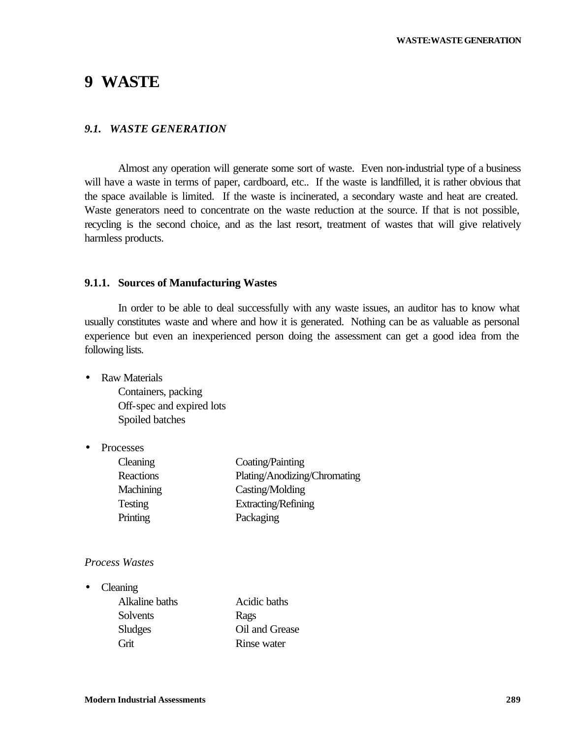# **9 WASTE**

#### *9.1. WASTE GENERATION*

Almost any operation will generate some sort of waste. Even non-industrial type of a business will have a waste in terms of paper, cardboard, etc.. If the waste is landfilled, it is rather obvious that the space available is limited. If the waste is incinerated, a secondary waste and heat are created. Waste generators need to concentrate on the waste reduction at the source. If that is not possible, recycling is the second choice, and as the last resort, treatment of wastes that will give relatively harmless products.

#### **9.1.1. Sources of Manufacturing Wastes**

In order to be able to deal successfully with any waste issues, an auditor has to know what usually constitutes waste and where and how it is generated. Nothing can be as valuable as personal experience but even an inexperienced person doing the assessment can get a good idea from the following lists.

• Raw Materials

Containers, packing Off-spec and expired lots Spoiled batches

• Processes

| Cleaning       | Coating/Painting             |
|----------------|------------------------------|
| Reactions      | Plating/Anodizing/Chromating |
| Machining      | Casting/Molding              |
| <b>Testing</b> | Extracting/Refining          |
| Printing       | Packaging                    |

#### *Process Wastes*

• Cleaning

| Acidic baths   |
|----------------|
| Rags           |
| Oil and Grease |
| Rinse water    |
|                |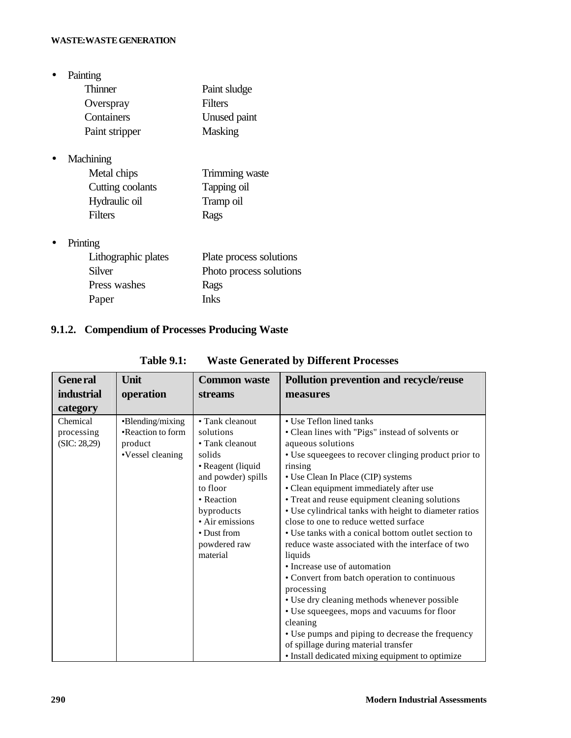• Painting

| <b>Thinner</b> | Paint sludge   |
|----------------|----------------|
| Overspray      | Filters        |
| Containers     | Unused paint   |
| Paint stripper | <b>Masking</b> |

• Machining

| Metal chips      | Trimming waste |
|------------------|----------------|
| Cutting coolants | Tapping oil    |
| Hydraulic oil    | Tramp oil      |
| Filters          | Rags           |

• Printing

| Lithographic plates | Plate process solutions |
|---------------------|-------------------------|
| Silver              | Photo process solutions |
| Press washes        | Rags                    |
| Paper               | <b>Inks</b>             |

## **9.1.2. Compendium of Processes Producing Waste**

| <b>General</b>                         | Unit                                                                 | <b>Common waste</b>                                                                                                                                                                                        | <b>Pollution prevention and recycle/reuse</b>                                                                                                                                                                                                                                                                                                                                                                                                                                                                                                                                                                                                                                                                                                                                                                                                                                              |
|----------------------------------------|----------------------------------------------------------------------|------------------------------------------------------------------------------------------------------------------------------------------------------------------------------------------------------------|--------------------------------------------------------------------------------------------------------------------------------------------------------------------------------------------------------------------------------------------------------------------------------------------------------------------------------------------------------------------------------------------------------------------------------------------------------------------------------------------------------------------------------------------------------------------------------------------------------------------------------------------------------------------------------------------------------------------------------------------------------------------------------------------------------------------------------------------------------------------------------------------|
| <b>industrial</b>                      | operation                                                            | streams                                                                                                                                                                                                    | measures                                                                                                                                                                                                                                                                                                                                                                                                                                                                                                                                                                                                                                                                                                                                                                                                                                                                                   |
| category                               |                                                                      |                                                                                                                                                                                                            |                                                                                                                                                                                                                                                                                                                                                                                                                                                                                                                                                                                                                                                                                                                                                                                                                                                                                            |
| Chemical<br>processing<br>(SIC: 28,29) | •Blending/mixing<br>•Reaction to form<br>product<br>•Vessel cleaning | • Tank cleanout<br>solutions<br>• Tank cleanout<br>solids<br>• Reagent (liquid<br>and powder) spills<br>to floor<br>• Reaction<br>byproducts<br>• Air emissions<br>• Dust from<br>powdered raw<br>material | • Use Teflon lined tanks<br>• Clean lines with "Pigs" instead of solvents or<br>aqueous solutions<br>• Use squeegees to recover clinging product prior to<br>rinsing<br>• Use Clean In Place (CIP) systems<br>• Clean equipment immediately after use<br>• Treat and reuse equipment cleaning solutions<br>• Use cylindrical tanks with height to diameter ratios<br>close to one to reduce wetted surface<br>• Use tanks with a conical bottom outlet section to<br>reduce waste associated with the interface of two<br>liquids<br>• Increase use of automation<br>• Convert from batch operation to continuous<br>processing<br>• Use dry cleaning methods whenever possible<br>• Use squeegees, mops and vacuums for floor<br>cleaning<br>• Use pumps and piping to decrease the frequency<br>of spillage during material transfer<br>• Install dedicated mixing equipment to optimize |

## **Table 9.1: Waste Generated by Different Processes**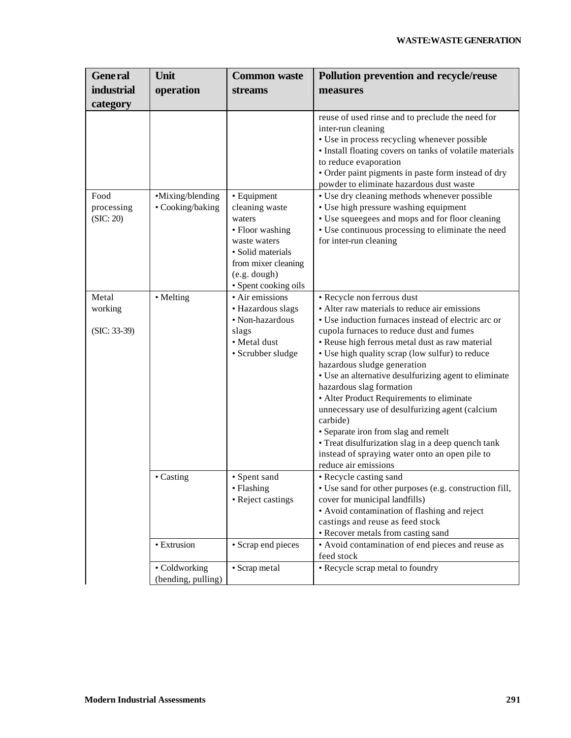| <b>General</b>                     | Unit                                 | <b>Common waste</b>                                                                                                                                            | Pollution prevention and recycle/reuse                                                                                                                                                                                                                                                                                                                                                                                                                                                                                                                                                                                                                                                       |
|------------------------------------|--------------------------------------|----------------------------------------------------------------------------------------------------------------------------------------------------------------|----------------------------------------------------------------------------------------------------------------------------------------------------------------------------------------------------------------------------------------------------------------------------------------------------------------------------------------------------------------------------------------------------------------------------------------------------------------------------------------------------------------------------------------------------------------------------------------------------------------------------------------------------------------------------------------------|
| <b>industrial</b>                  | operation                            | streams                                                                                                                                                        | measures                                                                                                                                                                                                                                                                                                                                                                                                                                                                                                                                                                                                                                                                                     |
| category                           |                                      |                                                                                                                                                                |                                                                                                                                                                                                                                                                                                                                                                                                                                                                                                                                                                                                                                                                                              |
|                                    |                                      |                                                                                                                                                                | reuse of used rinse and to preclude the need for<br>inter-run cleaning<br>• Use in process recycling whenever possible<br>· Install floating covers on tanks of volatile materials<br>to reduce evaporation<br>· Order paint pigments in paste form instead of dry<br>powder to eliminate hazardous dust waste                                                                                                                                                                                                                                                                                                                                                                               |
| Food<br>processing<br>(SIC: 20)    | •Mixing/blending<br>• Cooking/baking | • Equipment<br>cleaning waste<br>waters<br>• Floor washing<br>waste waters<br>• Solid materials<br>from mixer cleaning<br>(e.g. dough)<br>• Spent cooking oils | • Use dry cleaning methods whenever possible<br>• Use high pressure washing equipment<br>• Use squeegees and mops and for floor cleaning<br>• Use continuous processing to eliminate the need<br>for inter-run cleaning                                                                                                                                                                                                                                                                                                                                                                                                                                                                      |
| Metal<br>working<br>$(SIC: 33-39)$ | • Melting                            | • Air emissions<br>· Hazardous slags<br>• Non-hazardous<br>slags<br>· Metal dust<br>· Scrubber sludge                                                          | · Recycle non ferrous dust<br>• Alter raw materials to reduce air emissions<br>• Use induction furnaces instead of electric arc or<br>cupola furnaces to reduce dust and fumes<br>• Reuse high ferrous metal dust as raw material<br>• Use high quality scrap (low sulfur) to reduce<br>hazardous sludge generation<br>• Use an alternative desulfurizing agent to eliminate<br>hazardous slag formation<br>• Alter Product Requirements to eliminate<br>unnecessary use of desulfurizing agent (calcium<br>carbide)<br>· Separate iron from slag and remelt<br>• Treat disulfurization slag in a deep quench tank<br>instead of spraying water onto an open pile to<br>reduce air emissions |
|                                    | • Casting                            | • Spent sand<br>• Flashing<br>• Reject castings                                                                                                                | • Recycle casting sand<br>• Use sand for other purposes (e.g. construction fill,<br>cover for municipal landfills)<br>• Avoid contamination of flashing and reject<br>castings and reuse as feed stock<br>• Recover metals from casting sand                                                                                                                                                                                                                                                                                                                                                                                                                                                 |
|                                    | • Extrusion                          | • Scrap end pieces                                                                                                                                             | • Avoid contamination of end pieces and reuse as<br>feed stock                                                                                                                                                                                                                                                                                                                                                                                                                                                                                                                                                                                                                               |
|                                    | • Coldworking<br>(bending, pulling)  | • Scrap metal                                                                                                                                                  | • Recycle scrap metal to foundry                                                                                                                                                                                                                                                                                                                                                                                                                                                                                                                                                                                                                                                             |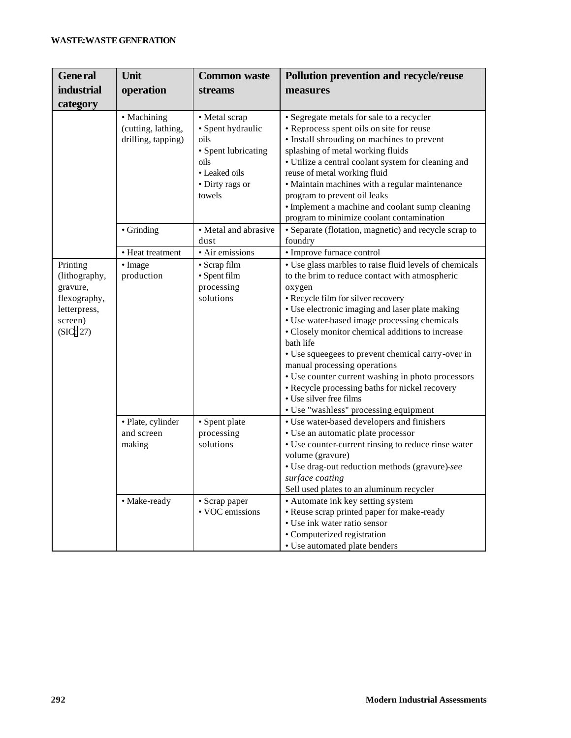| <b>General</b>                                                                                | Unit                                                      | <b>Common waste</b>                                                                                                     | <b>Pollution prevention and recycle/reuse</b>                                                                                                                                                                                                                                                                                                                                                                                                                                                                                                                                                |
|-----------------------------------------------------------------------------------------------|-----------------------------------------------------------|-------------------------------------------------------------------------------------------------------------------------|----------------------------------------------------------------------------------------------------------------------------------------------------------------------------------------------------------------------------------------------------------------------------------------------------------------------------------------------------------------------------------------------------------------------------------------------------------------------------------------------------------------------------------------------------------------------------------------------|
| <b>industrial</b>                                                                             | operation                                                 | streams                                                                                                                 | measures                                                                                                                                                                                                                                                                                                                                                                                                                                                                                                                                                                                     |
| category                                                                                      |                                                           |                                                                                                                         |                                                                                                                                                                                                                                                                                                                                                                                                                                                                                                                                                                                              |
|                                                                                               | • Machining<br>(cutting, lathing,<br>drilling, tapping)   | • Metal scrap<br>· Spent hydraulic<br>oils<br>• Spent lubricating<br>oils<br>• Leaked oils<br>• Dirty rags or<br>towels | • Segregate metals for sale to a recycler<br>• Reprocess spent oils on site for reuse<br>• Install shrouding on machines to prevent<br>splashing of metal working fluids<br>• Utilize a central coolant system for cleaning and<br>reuse of metal working fluid<br>· Maintain machines with a regular maintenance<br>program to prevent oil leaks<br>• Implement a machine and coolant sump cleaning<br>program to minimize coolant contamination                                                                                                                                            |
|                                                                                               | • Grinding                                                | • Metal and abrasive<br>dust                                                                                            | • Separate (flotation, magnetic) and recycle scrap to<br>foundry                                                                                                                                                                                                                                                                                                                                                                                                                                                                                                                             |
|                                                                                               | • Heat treatment                                          | · Air emissions                                                                                                         | · Improve furnace control                                                                                                                                                                                                                                                                                                                                                                                                                                                                                                                                                                    |
| Printing<br>(lithography,<br>gravure,<br>flexography,<br>letterpress,<br>screen)<br>(SIC: 27) | • Image<br>production                                     | • Scrap film<br>• Spent film<br>processing<br>solutions                                                                 | • Use glass marbles to raise fluid levels of chemicals<br>to the brim to reduce contact with atmospheric<br>oxygen<br>• Recycle film for silver recovery<br>• Use electronic imaging and laser plate making<br>• Use water-based image processing chemicals<br>• Closely monitor chemical additions to increase<br>bath life<br>• Use squeegees to prevent chemical carry-over in<br>manual processing operations<br>• Use counter current washing in photo processors<br>• Recycle processing baths for nickel recovery<br>• Use silver free films<br>• Use "washless" processing equipment |
|                                                                                               | · Plate, cylinder<br>and screen<br>making<br>• Make-ready | • Spent plate<br>processing<br>solutions<br>• Scrap paper                                                               | • Use water-based developers and finishers<br>· Use an automatic plate processor<br>• Use counter-current rinsing to reduce rinse water<br>volume (gravure)<br>· Use drag-out reduction methods (gravure)-see<br>surface coating<br>Sell used plates to an aluminum recycler<br>• Automate ink key setting system                                                                                                                                                                                                                                                                            |
|                                                                                               |                                                           | • VOC emissions                                                                                                         | • Reuse scrap printed paper for make-ready<br>• Use ink water ratio sensor<br>• Computerized registration<br>• Use automated plate benders                                                                                                                                                                                                                                                                                                                                                                                                                                                   |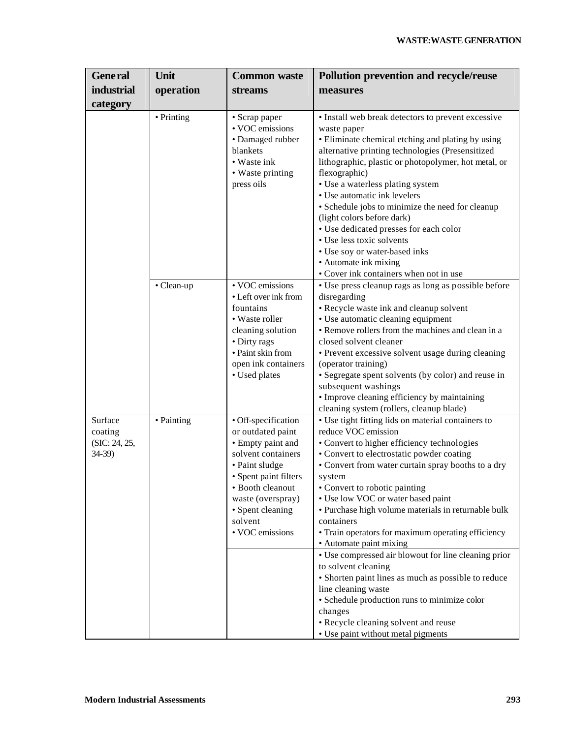| <b>General</b>                                 | Unit       | <b>Common waste</b>                                                                                                                                                                                                       | <b>Pollution prevention and recycle/reuse</b>                                                                                                                                                                                                                                                                                                                                                                                                                                                                                                                                                                                                                                                                                                                            |
|------------------------------------------------|------------|---------------------------------------------------------------------------------------------------------------------------------------------------------------------------------------------------------------------------|--------------------------------------------------------------------------------------------------------------------------------------------------------------------------------------------------------------------------------------------------------------------------------------------------------------------------------------------------------------------------------------------------------------------------------------------------------------------------------------------------------------------------------------------------------------------------------------------------------------------------------------------------------------------------------------------------------------------------------------------------------------------------|
| <b>industrial</b>                              | operation  | <b>streams</b>                                                                                                                                                                                                            | measures                                                                                                                                                                                                                                                                                                                                                                                                                                                                                                                                                                                                                                                                                                                                                                 |
| category                                       |            |                                                                                                                                                                                                                           |                                                                                                                                                                                                                                                                                                                                                                                                                                                                                                                                                                                                                                                                                                                                                                          |
|                                                | • Printing | • Scrap paper<br>• VOC emissions<br>• Damaged rubber<br>blankets<br>• Waste ink<br>• Waste printing<br>press oils                                                                                                         | • Install web break detectors to prevent excessive<br>waste paper<br>• Eliminate chemical etching and plating by using<br>alternative printing technologies (Presensitized<br>lithographic, plastic or photopolymer, hot metal, or<br>flexographic)<br>· Use a waterless plating system<br>• Use automatic ink levelers<br>· Schedule jobs to minimize the need for cleanup<br>(light colors before dark)<br>• Use dedicated presses for each color<br>• Use less toxic solvents<br>• Use soy or water-based inks<br>• Automate ink mixing<br>• Cover ink containers when not in use                                                                                                                                                                                     |
|                                                | • Clean-up | • VOC emissions<br>• Left over ink from<br>fountains<br>• Waste roller<br>cleaning solution<br>• Dirty rags<br>• Paint skin from<br>open ink containers<br>• Used plates                                                  | • Use press cleanup rags as long as possible before<br>disregarding<br>• Recycle waste ink and cleanup solvent<br>• Use automatic cleaning equipment<br>• Remove rollers from the machines and clean in a<br>closed solvent cleaner<br>• Prevent excessive solvent usage during cleaning<br>(operator training)<br>• Segregate spent solvents (by color) and reuse in<br>subsequent washings<br>• Improve cleaning efficiency by maintaining<br>cleaning system (rollers, cleanup blade)                                                                                                                                                                                                                                                                                 |
| Surface<br>coating<br>(SIC: 24, 25,<br>$34-39$ | • Painting | · Off-specification<br>or outdated paint<br>• Empty paint and<br>solvent containers<br>• Paint sludge<br>• Spent paint filters<br>• Booth cleanout<br>waste (overspray)<br>• Spent cleaning<br>solvent<br>• VOC emissions | • Use tight fitting lids on material containers to<br>reduce VOC emission<br>• Convert to higher efficiency technologies<br>• Convert to electrostatic powder coating<br>• Convert from water curtain spray booths to a dry<br>system<br>• Convert to robotic painting<br>• Use low VOC or water based paint<br>· Purchase high volume materials in returnable bulk<br>containers<br>• Train operators for maximum operating efficiency<br>• Automate paint mixing<br>• Use compressed air blowout for line cleaning prior<br>to solvent cleaning<br>• Shorten paint lines as much as possible to reduce<br>line cleaning waste<br>• Schedule production runs to minimize color<br>changes<br>• Recycle cleaning solvent and reuse<br>• Use paint without metal pigments |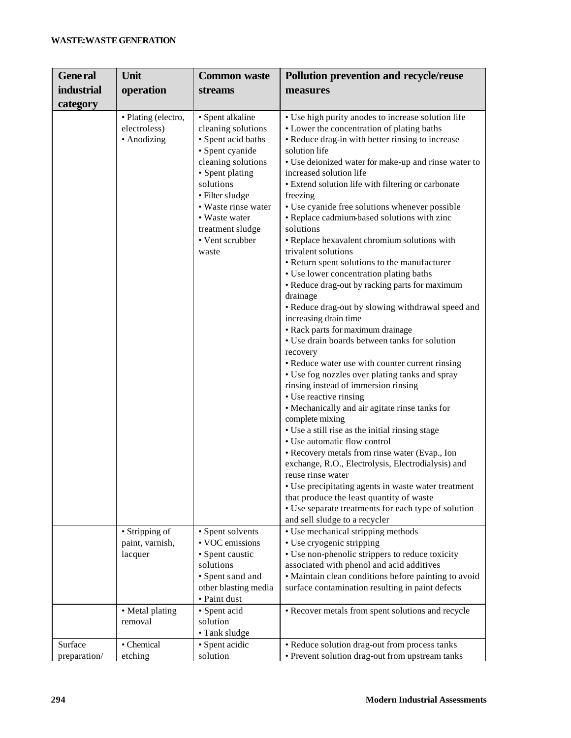| <b>General</b>          | Unit                                               | <b>Common waste</b>                                                                                                                                                                                                                              | Pollution prevention and recycle/reuse                                                                                                                                                                                                                                                                                                                                                                                                                                                                                                                                                                                                                                                                                                                                                                                                                                                                                                                                                                                                                                                                                                                                                                                                                                                                                                                                                                                                                                                                          |
|-------------------------|----------------------------------------------------|--------------------------------------------------------------------------------------------------------------------------------------------------------------------------------------------------------------------------------------------------|-----------------------------------------------------------------------------------------------------------------------------------------------------------------------------------------------------------------------------------------------------------------------------------------------------------------------------------------------------------------------------------------------------------------------------------------------------------------------------------------------------------------------------------------------------------------------------------------------------------------------------------------------------------------------------------------------------------------------------------------------------------------------------------------------------------------------------------------------------------------------------------------------------------------------------------------------------------------------------------------------------------------------------------------------------------------------------------------------------------------------------------------------------------------------------------------------------------------------------------------------------------------------------------------------------------------------------------------------------------------------------------------------------------------------------------------------------------------------------------------------------------------|
| <b>industrial</b>       | operation                                          | <b>streams</b>                                                                                                                                                                                                                                   | measures                                                                                                                                                                                                                                                                                                                                                                                                                                                                                                                                                                                                                                                                                                                                                                                                                                                                                                                                                                                                                                                                                                                                                                                                                                                                                                                                                                                                                                                                                                        |
| category                |                                                    |                                                                                                                                                                                                                                                  |                                                                                                                                                                                                                                                                                                                                                                                                                                                                                                                                                                                                                                                                                                                                                                                                                                                                                                                                                                                                                                                                                                                                                                                                                                                                                                                                                                                                                                                                                                                 |
|                         | · Plating (electro,<br>electroless)<br>• Anodizing | · Spent alkaline<br>cleaning solutions<br>• Spent acid baths<br>· Spent cyanide<br>cleaning solutions<br>• Spent plating<br>solutions<br>· Filter sludge<br>• Waste rinse water<br>• Waste water<br>treatment sludge<br>• Vent scrubber<br>waste | • Use high purity anodes to increase solution life<br>• Lower the concentration of plating baths<br>• Reduce drag-in with better rinsing to increase<br>solution life<br>• Use deionized water for make-up and rinse water to<br>increased solution life<br>• Extend solution life with filtering or carbonate<br>freezing<br>• Use cyanide free solutions whenever possible<br>• Replace cadmium-based solutions with zinc<br>solutions<br>• Replace hexavalent chromium solutions with<br>trivalent solutions<br>• Return spent solutions to the manufacturer<br>• Use lower concentration plating baths<br>• Reduce drag-out by racking parts for maximum<br>drainage<br>• Reduce drag-out by slowing withdrawal speed and<br>increasing drain time<br>• Rack parts for maximum drainage<br>• Use drain boards between tanks for solution<br>recovery<br>• Reduce water use with counter current rinsing<br>• Use fog nozzles over plating tanks and spray<br>rinsing instead of immersion rinsing<br>• Use reactive rinsing<br>• Mechanically and air agitate rinse tanks for<br>complete mixing<br>• Use a still rise as the initial rinsing stage<br>• Use automatic flow control<br>• Recovery metals from rinse water (Evap., Ion<br>exchange, R.O., Electrolysis, Electrodialysis) and<br>reuse rinse water<br>• Use precipitating agents in waste water treatment<br>that produce the least quantity of waste<br>• Use separate treatments for each type of solution<br>and sell sludge to a recycler |
|                         | • Stripping of<br>paint, varnish,<br>lacquer       | • Spent solvents<br>• VOC emissions<br>• Spent caustic<br>solutions<br>• Spent sand and<br>other blasting media<br>· Paint dust                                                                                                                  | • Use mechanical stripping methods<br>• Use cryogenic stripping<br>• Use non-phenolic strippers to reduce toxicity<br>associated with phenol and acid additives<br>• Maintain clean conditions before painting to avoid<br>surface contamination resulting in paint defects                                                                                                                                                                                                                                                                                                                                                                                                                                                                                                                                                                                                                                                                                                                                                                                                                                                                                                                                                                                                                                                                                                                                                                                                                                     |
|                         | • Metal plating<br>removal                         | · Spent acid<br>solution<br>• Tank sludge                                                                                                                                                                                                        | • Recover metals from spent solutions and recycle                                                                                                                                                                                                                                                                                                                                                                                                                                                                                                                                                                                                                                                                                                                                                                                                                                                                                                                                                                                                                                                                                                                                                                                                                                                                                                                                                                                                                                                               |
| Surface<br>preparation/ | • Chemical<br>etching                              | · Spent acidic<br>solution                                                                                                                                                                                                                       | • Reduce solution drag-out from process tanks<br>• Prevent solution drag-out from upstream tanks                                                                                                                                                                                                                                                                                                                                                                                                                                                                                                                                                                                                                                                                                                                                                                                                                                                                                                                                                                                                                                                                                                                                                                                                                                                                                                                                                                                                                |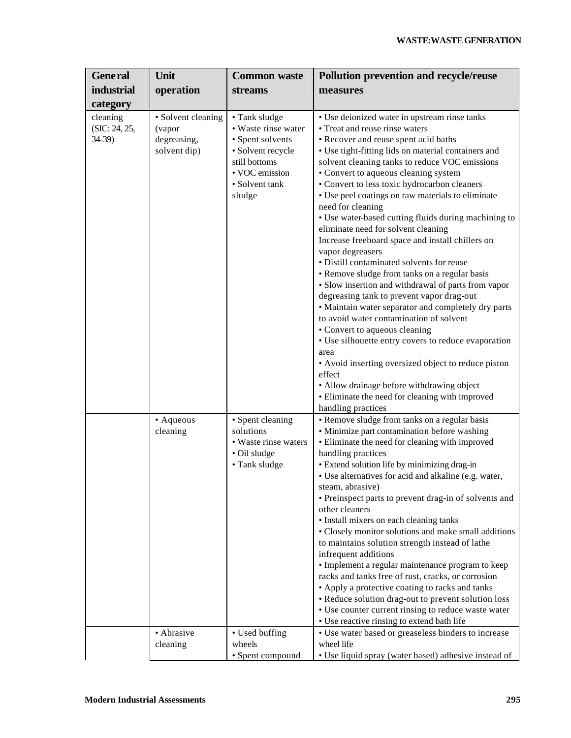| <b>General</b>                                   | Unit                                                        | <b>Common waste</b>                                                                                                                          | <b>Pollution prevention and recycle/reuse</b>                                                                                                                                                                                                                                                                                                                                                                                                                                                                                                                                                                                                                                                                                                                                                                                                                                                                                                                                                                                                  |
|--------------------------------------------------|-------------------------------------------------------------|----------------------------------------------------------------------------------------------------------------------------------------------|------------------------------------------------------------------------------------------------------------------------------------------------------------------------------------------------------------------------------------------------------------------------------------------------------------------------------------------------------------------------------------------------------------------------------------------------------------------------------------------------------------------------------------------------------------------------------------------------------------------------------------------------------------------------------------------------------------------------------------------------------------------------------------------------------------------------------------------------------------------------------------------------------------------------------------------------------------------------------------------------------------------------------------------------|
| <b>industrial</b>                                | operation                                                   | <b>streams</b>                                                                                                                               | measures                                                                                                                                                                                                                                                                                                                                                                                                                                                                                                                                                                                                                                                                                                                                                                                                                                                                                                                                                                                                                                       |
|                                                  |                                                             |                                                                                                                                              |                                                                                                                                                                                                                                                                                                                                                                                                                                                                                                                                                                                                                                                                                                                                                                                                                                                                                                                                                                                                                                                |
| category<br>cleaning<br>(SIC: 24, 25,<br>$34-39$ | • Solvent cleaning<br>(vapor<br>degreasing,<br>solvent dip) | • Tank sludge<br>• Waste rinse water<br>• Spent solvents<br>· Solvent recycle<br>still bottoms<br>• VOC emission<br>• Solvent tank<br>sludge | • Use deionized water in upstream rinse tanks<br>• Treat and reuse rinse waters<br>• Recover and reuse spent acid baths<br>· Use tight-fitting lids on material containers and<br>solvent cleaning tanks to reduce VOC emissions<br>• Convert to aqueous cleaning system<br>• Convert to less toxic hydrocarbon cleaners<br>• Use peel coatings on raw materials to eliminate<br>need for cleaning<br>• Use water-based cutting fluids during machining to<br>eliminate need for solvent cleaning<br>Increase freeboard space and install chillers on<br>vapor degreasers<br>· Distill contaminated solvents for reuse<br>• Remove sludge from tanks on a regular basis<br>• Slow insertion and withdrawal of parts from vapor<br>degreasing tank to prevent vapor drag-out<br>• Maintain water separator and completely dry parts<br>to avoid water contamination of solvent<br>• Convert to aqueous cleaning<br>• Use silhouette entry covers to reduce evaporation<br>area<br>• Avoid inserting oversized object to reduce piston<br>effect |
|                                                  |                                                             |                                                                                                                                              | • Allow drainage before withdrawing object<br>• Eliminate the need for cleaning with improved                                                                                                                                                                                                                                                                                                                                                                                                                                                                                                                                                                                                                                                                                                                                                                                                                                                                                                                                                  |
|                                                  | • Aqueous<br>cleaning                                       | • Spent cleaning<br>solutions<br>• Waste rinse waters<br>• Oil sludge<br>• Tank sludge                                                       | handling practices<br>• Remove sludge from tanks on a regular basis<br>• Minimize part contamination before washing<br>• Eliminate the need for cleaning with improved<br>handling practices<br>• Extend solution life by minimizing drag-in<br>• Use alternatives for acid and alkaline (e.g. water,<br>steam, abrasive)<br>• Preinspect parts to prevent drag-in of solvents and<br>other cleaners<br>· Install mixers on each cleaning tanks<br>• Closely monitor solutions and make small additions<br>to maintains solution strength instead of lathe<br>infrequent additions<br>• Implement a regular maintenance program to keep<br>racks and tanks free of rust, cracks, or corrosion<br>• Apply a protective coating to racks and tanks<br>• Reduce solution drag-out to prevent solution loss<br>• Use counter current rinsing to reduce waste water<br>• Use reactive rinsing to extend bath life                                                                                                                                   |
|                                                  | • Abrasive<br>cleaning                                      | • Used buffing<br>wheels<br>• Spent compound                                                                                                 | • Use water based or greaseless binders to increase<br>wheel life<br>• Use liquid spray (water based) adhesive instead of                                                                                                                                                                                                                                                                                                                                                                                                                                                                                                                                                                                                                                                                                                                                                                                                                                                                                                                      |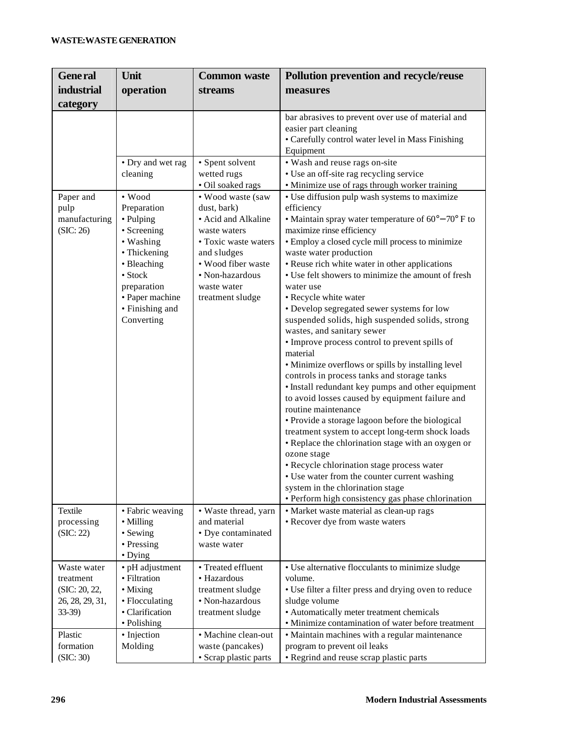| <b>General</b>                                                          | Unit                                                                                                                                                                                        | <b>Common waste</b>                                                                                                                                                                        | <b>Pollution prevention and recycle/reuse</b>                                                                                                                                                                                                                                                                                                                                                                                                                                                                                                                                                                                                                                                                                                                                                                                                                                                                                                                                                                                                                                                                                                                                                     |
|-------------------------------------------------------------------------|---------------------------------------------------------------------------------------------------------------------------------------------------------------------------------------------|--------------------------------------------------------------------------------------------------------------------------------------------------------------------------------------------|---------------------------------------------------------------------------------------------------------------------------------------------------------------------------------------------------------------------------------------------------------------------------------------------------------------------------------------------------------------------------------------------------------------------------------------------------------------------------------------------------------------------------------------------------------------------------------------------------------------------------------------------------------------------------------------------------------------------------------------------------------------------------------------------------------------------------------------------------------------------------------------------------------------------------------------------------------------------------------------------------------------------------------------------------------------------------------------------------------------------------------------------------------------------------------------------------|
| <b>industrial</b>                                                       | operation                                                                                                                                                                                   | <b>streams</b>                                                                                                                                                                             | measures                                                                                                                                                                                                                                                                                                                                                                                                                                                                                                                                                                                                                                                                                                                                                                                                                                                                                                                                                                                                                                                                                                                                                                                          |
| category                                                                |                                                                                                                                                                                             |                                                                                                                                                                                            |                                                                                                                                                                                                                                                                                                                                                                                                                                                                                                                                                                                                                                                                                                                                                                                                                                                                                                                                                                                                                                                                                                                                                                                                   |
|                                                                         |                                                                                                                                                                                             |                                                                                                                                                                                            | bar abrasives to prevent over use of material and<br>easier part cleaning<br>• Carefully control water level in Mass Finishing<br>Equipment                                                                                                                                                                                                                                                                                                                                                                                                                                                                                                                                                                                                                                                                                                                                                                                                                                                                                                                                                                                                                                                       |
|                                                                         | • Dry and wet rag<br>cleaning                                                                                                                                                               | • Spent solvent<br>wetted rugs<br>· Oil soaked rags                                                                                                                                        | • Wash and reuse rags on-site<br>• Use an off-site rag recycling service<br>• Minimize use of rags through worker training                                                                                                                                                                                                                                                                                                                                                                                                                                                                                                                                                                                                                                                                                                                                                                                                                                                                                                                                                                                                                                                                        |
| Paper and<br>pulp<br>manufacturing<br>(SIC: 26)                         | $\bullet$ Wood<br>Preparation<br>• Pulping<br>• Screening<br>• Washing<br>• Thickening<br>• Bleaching<br>$\bullet$ Stock<br>preparation<br>• Paper machine<br>• Finishing and<br>Converting | • Wood waste (saw<br>dust, bark)<br>• Acid and Alkaline<br>waste waters<br>• Toxic waste waters<br>and sludges<br>• Wood fiber waste<br>• Non-hazardous<br>waste water<br>treatment sludge | • Use diffusion pulp wash systems to maximize<br>efficiency<br>• Maintain spray water temperature of $60^{\circ} - 70^{\circ}$ F to<br>maximize rinse efficiency<br>• Employ a closed cycle mill process to minimize<br>waste water production<br>• Reuse rich white water in other applications<br>• Use felt showers to minimize the amount of fresh<br>water use<br>• Recycle white water<br>• Develop segregated sewer systems for low<br>suspended solids, high suspended solids, strong<br>wastes, and sanitary sewer<br>• Improve process control to prevent spills of<br>material<br>• Minimize overflows or spills by installing level<br>controls in process tanks and storage tanks<br>· Install redundant key pumps and other equipment<br>to avoid losses caused by equipment failure and<br>routine maintenance<br>• Provide a storage lagoon before the biological<br>treatment system to accept long-term shock loads<br>• Replace the chlorination stage with an oxygen or<br>ozone stage<br>· Recycle chlorination stage process water<br>• Use water from the counter current washing<br>system in the chlorination stage<br>• Perform high consistency gas phase chlorination |
| Textile<br>processing<br>(SIC: 22)                                      | • Fabric weaving<br>• Milling<br>• Sewing<br>• Pressing<br>$\bullet$ Dying                                                                                                                  | · Waste thread, yarn<br>and material<br>• Dye contaminated<br>waste water                                                                                                                  | • Market waste material as clean-up rags<br>• Recover dye from waste waters                                                                                                                                                                                                                                                                                                                                                                                                                                                                                                                                                                                                                                                                                                                                                                                                                                                                                                                                                                                                                                                                                                                       |
| Waste water<br>treatment<br>(SIC: 20, 22,<br>26, 28, 29, 31,<br>$33-39$ | • pH adjustment<br>• Filtration<br>• Mixing<br>• Flocculating<br>• Clarification<br>• Polishing                                                                                             | • Treated effluent<br>• Hazardous<br>treatment sludge<br>· Non-hazardous<br>treatment sludge                                                                                               | • Use alternative flocculants to minimize sludge<br>volume.<br>• Use filter a filter press and drying oven to reduce<br>sludge volume<br>• Automatically meter treatment chemicals<br>• Minimize contamination of water before treatment                                                                                                                                                                                                                                                                                                                                                                                                                                                                                                                                                                                                                                                                                                                                                                                                                                                                                                                                                          |
| Plastic<br>formation<br>(SIC: 30)                                       | • Injection<br>Molding                                                                                                                                                                      | · Machine clean-out<br>waste (pancakes)<br>• Scrap plastic parts                                                                                                                           | • Maintain machines with a regular maintenance<br>program to prevent oil leaks<br>• Regrind and reuse scrap plastic parts                                                                                                                                                                                                                                                                                                                                                                                                                                                                                                                                                                                                                                                                                                                                                                                                                                                                                                                                                                                                                                                                         |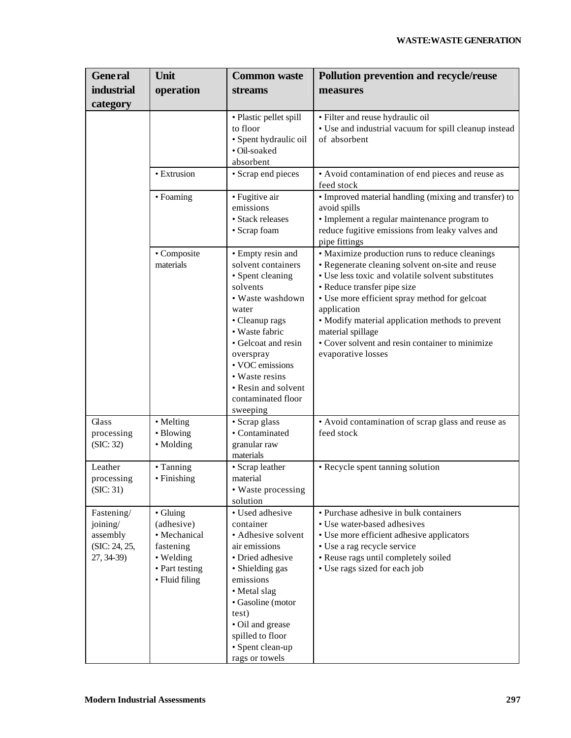| <b>General</b>                                                    | Unit                                                                                                 | <b>Common waste</b>                                                                                                                                                                                                                                                        | <b>Pollution prevention and recycle/reuse</b>                                                                                                                                                                                                                                                                                                                                                           |
|-------------------------------------------------------------------|------------------------------------------------------------------------------------------------------|----------------------------------------------------------------------------------------------------------------------------------------------------------------------------------------------------------------------------------------------------------------------------|---------------------------------------------------------------------------------------------------------------------------------------------------------------------------------------------------------------------------------------------------------------------------------------------------------------------------------------------------------------------------------------------------------|
| industrial                                                        | operation                                                                                            | <b>streams</b>                                                                                                                                                                                                                                                             | measures                                                                                                                                                                                                                                                                                                                                                                                                |
| category                                                          |                                                                                                      |                                                                                                                                                                                                                                                                            |                                                                                                                                                                                                                                                                                                                                                                                                         |
|                                                                   |                                                                                                      | · Plastic pellet spill<br>to floor<br>· Spent hydraulic oil<br>· Oil-soaked<br>absorbent                                                                                                                                                                                   | · Filter and reuse hydraulic oil<br>• Use and industrial vacuum for spill cleanup instead<br>of absorbent                                                                                                                                                                                                                                                                                               |
|                                                                   | • Extrusion                                                                                          | • Scrap end pieces                                                                                                                                                                                                                                                         | • Avoid contamination of end pieces and reuse as<br>feed stock                                                                                                                                                                                                                                                                                                                                          |
|                                                                   | • Foaming                                                                                            | • Fugitive air<br>emissions<br>· Stack releases<br>• Scrap foam                                                                                                                                                                                                            | • Improved material handling (mixing and transfer) to<br>avoid spills<br>• Implement a regular maintenance program to<br>reduce fugitive emissions from leaky valves and<br>pipe fittings                                                                                                                                                                                                               |
|                                                                   | • Composite<br>materials                                                                             | • Empty resin and<br>solvent containers<br>• Spent cleaning<br>solvents<br>• Waste washdown<br>water<br>• Cleanup rags<br>• Waste fabric<br>• Gelcoat and resin<br>overspray<br>• VOC emissions<br>• Waste resins<br>• Resin and solvent<br>contaminated floor<br>sweeping | • Maximize production runs to reduce cleanings<br>• Regenerate cleaning solvent on-site and reuse<br>• Use less toxic and volatile solvent substitutes<br>• Reduce transfer pipe size<br>• Use more efficient spray method for gelcoat<br>application<br>· Modify material application methods to prevent<br>material spillage<br>• Cover solvent and resin container to minimize<br>evaporative losses |
| Glass<br>processing<br>(SIC: 32)                                  | • Melting<br>• Blowing<br>• Molding                                                                  | • Scrap glass<br>• Contaminated<br>granular raw<br>materials                                                                                                                                                                                                               | • Avoid contamination of scrap glass and reuse as<br>feed stock                                                                                                                                                                                                                                                                                                                                         |
| Leather<br>processing<br>(SIC: 31)                                | • Tanning<br>• Finishing                                                                             | • Scrap leather<br>material<br>• Waste processing<br>solution                                                                                                                                                                                                              | • Recycle spent tanning solution                                                                                                                                                                                                                                                                                                                                                                        |
| Fastening/<br>joining/<br>assembly<br>(SIC: 24, 25,<br>27, 34-39) | • Gluing<br>(adhesive)<br>• Mechanical<br>fastening<br>• Welding<br>• Part testing<br>• Fluid filing | • Used adhesive<br>container<br>• Adhesive solvent<br>air emissions<br>• Dried adhesive<br>• Shielding gas<br>emissions<br>• Metal slag<br>• Gasoline (motor<br>test)<br>• Oil and grease<br>spilled to floor<br>• Spent clean-up<br>rags or towels                        | • Purchase adhesive in bulk containers<br>• Use water-based adhesives<br>• Use more efficient adhesive applicators<br>• Use a rag recycle service<br>· Reuse rags until completely soiled<br>• Use rags sized for each job                                                                                                                                                                              |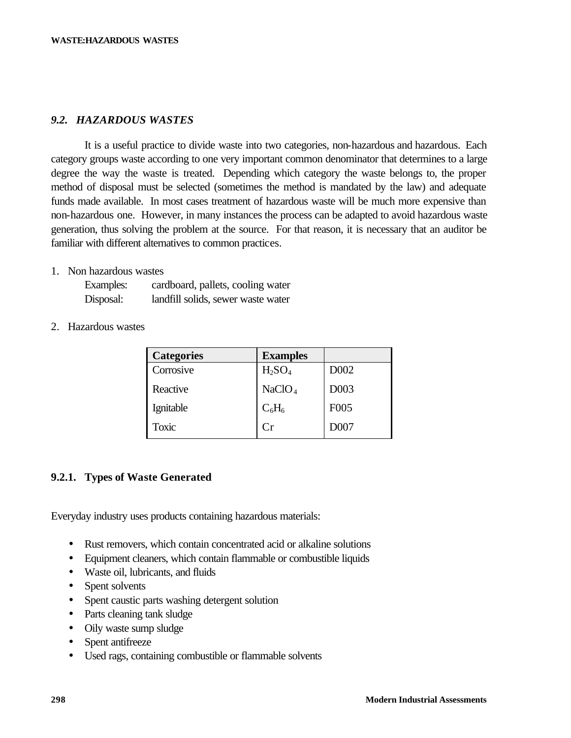## *9.2. HAZARDOUS WASTES*

It is a useful practice to divide waste into two categories, non-hazardous and hazardous. Each category groups waste according to one very important common denominator that determines to a large degree the way the waste is treated. Depending which category the waste belongs to, the proper method of disposal must be selected (sometimes the method is mandated by the law) and adequate funds made available. In most cases treatment of hazardous waste will be much more expensive than non-hazardous one. However, in many instances the process can be adapted to avoid hazardous waste generation, thus solving the problem at the source. For that reason, it is necessary that an auditor be familiar with different alternatives to common practices.

### 1. Non hazardous wastes

| Examples: | cardboard, pallets, cooling water  |
|-----------|------------------------------------|
| Disposal: | landfill solids, sewer waste water |

### 2. Hazardous wastes

| <b>Categories</b> | <b>Examples</b>                |                  |
|-------------------|--------------------------------|------------------|
| Corrosive         | H <sub>2</sub> SO <sub>4</sub> | D002             |
| Reactive          | NaClO <sub>4</sub>             | D <sub>003</sub> |
| Ignitable         | $C_6H_6$                       | F <sub>005</sub> |
| Toxic             | $\overline{\mathrm{Cr}}$       | D007             |

## **9.2.1. Types of Waste Generated**

Everyday industry uses products containing hazardous materials:

- Rust removers, which contain concentrated acid or alkaline solutions
- Equipment cleaners, which contain flammable or combustible liquids
- Waste oil, lubricants, and fluids
- Spent solvents
- Spent caustic parts washing detergent solution
- Parts cleaning tank sludge
- Oily waste sump sludge
- Spent antifreeze
- Used rags, containing combustible or flammable solvents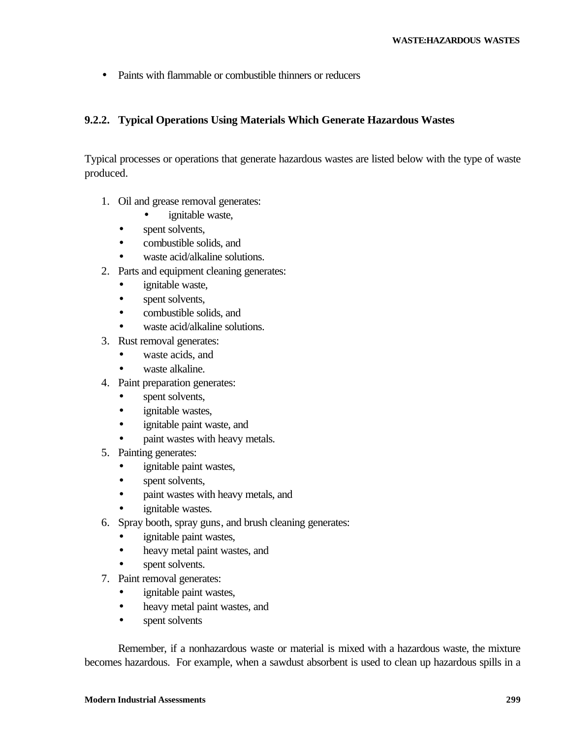• Paints with flammable or combustible thinners or reducers

## **9.2.2. Typical Operations Using Materials Which Generate Hazardous Wastes**

Typical processes or operations that generate hazardous wastes are listed below with the type of waste produced.

- 1. Oil and grease removal generates:
	- ignitable waste,
	- spent solvents,
	- combustible solids, and
	- waste acid/alkaline solutions.
- 2. Parts and equipment cleaning generates:
	- ignitable waste,
	- spent solvents,
	- combustible solids, and
	- waste acid/alkaline solutions.
- 3. Rust removal generates:
	- waste acids, and
	- waste alkaline.
- 4. Paint preparation generates:
	- spent solvents,
	- ignitable wastes,
	- ignitable paint waste, and
	- paint wastes with heavy metals.
- 5. Painting generates:
	- ignitable paint wastes,
	- spent solvents,
	- paint wastes with heavy metals, and
	- ignitable wastes.
- 6. Spray booth, spray guns, and brush cleaning generates:
	- ignitable paint wastes,
	- heavy metal paint wastes, and
	- spent solvents.
- 7. Paint removal generates:
	- ignitable paint wastes,
	- heavy metal paint wastes, and
	- spent solvents

Remember, if a nonhazardous waste or material is mixed with a hazardous waste, the mixture becomes hazardous. For example, when a sawdust absorbent is used to clean up hazardous spills in a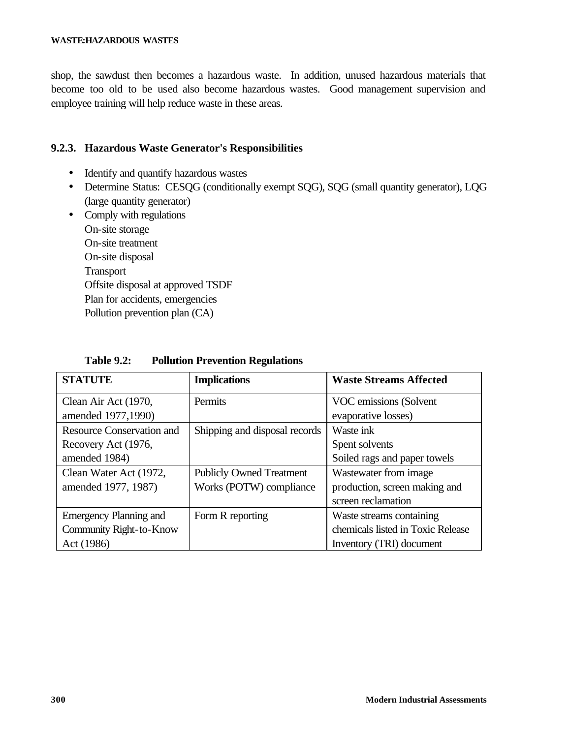shop, the sawdust then becomes a hazardous waste. In addition, unused hazardous materials that become too old to be used also become hazardous wastes. Good management supervision and employee training will help reduce waste in these areas.

## **9.2.3. Hazardous Waste Generator's Responsibilities**

- Identify and quantify hazardous wastes
- Determine Status: CESQG (conditionally exempt SQG), SQG (small quantity generator), LQG (large quantity generator)
- Comply with regulations On-site storage On-site treatment On-site disposal Transport Offsite disposal at approved TSDF Plan for accidents, emergencies Pollution prevention plan (CA)

| <b>STATUTE</b>                   | <b>Implications</b>             | <b>Waste Streams Affected</b>     |
|----------------------------------|---------------------------------|-----------------------------------|
| Clean Air Act (1970,             | Permits                         | VOC emissions (Solvent            |
| amended 1977,1990)               |                                 | evaporative losses)               |
| <b>Resource Conservation and</b> | Shipping and disposal records   | Waste ink                         |
| Recovery Act (1976,              |                                 | Spent solvents                    |
| amended 1984)                    |                                 | Soiled rags and paper towels      |
| Clean Water Act (1972,           | <b>Publicly Owned Treatment</b> | Wastewater from image             |
| amended 1977, 1987)              | Works (POTW) compliance         | production, screen making and     |
|                                  |                                 | screen reclamation                |
| <b>Emergency Planning and</b>    | Form R reporting                | Waste streams containing          |
| Community Right-to-Know          |                                 | chemicals listed in Toxic Release |
| Act (1986)                       |                                 | Inventory <i>(TRI)</i> document   |

**Table 9.2: Pollution Prevention Regulations**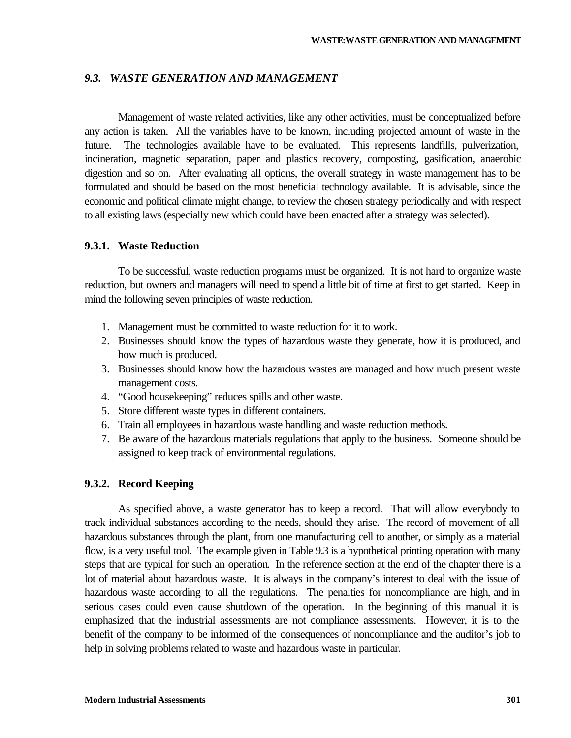### *9.3. WASTE GENERATION AND MANAGEMENT*

Management of waste related activities, like any other activities, must be conceptualized before any action is taken. All the variables have to be known, including projected amount of waste in the future. The technologies available have to be evaluated. This represents landfills, pulverization, incineration, magnetic separation, paper and plastics recovery, composting, gasification, anaerobic digestion and so on. After evaluating all options, the overall strategy in waste management has to be formulated and should be based on the most beneficial technology available. It is advisable, since the economic and political climate might change, to review the chosen strategy periodically and with respect to all existing laws (especially new which could have been enacted after a strategy was selected).

### **9.3.1. Waste Reduction**

To be successful, waste reduction programs must be organized. It is not hard to organize waste reduction, but owners and managers will need to spend a little bit of time at first to get started. Keep in mind the following seven principles of waste reduction.

- 1. Management must be committed to waste reduction for it to work.
- 2. Businesses should know the types of hazardous waste they generate, how it is produced, and how much is produced.
- 3. Businesses should know how the hazardous wastes are managed and how much present waste management costs.
- 4. "Good housekeeping" reduces spills and other waste.
- 5. Store different waste types in different containers.
- 6. Train all employees in hazardous waste handling and waste reduction methods.
- 7. Be aware of the hazardous materials regulations that apply to the business. Someone should be assigned to keep track of environmental regulations.

### **9.3.2. Record Keeping**

As specified above, a waste generator has to keep a record. That will allow everybody to track individual substances according to the needs, should they arise. The record of movement of all hazardous substances through the plant, from one manufacturing cell to another, or simply as a material flow, is a very useful tool. The example given in Table 9.3 is a hypothetical printing operation with many steps that are typical for such an operation. In the reference section at the end of the chapter there is a lot of material about hazardous waste. It is always in the company's interest to deal with the issue of hazardous waste according to all the regulations. The penalties for noncompliance are high, and in serious cases could even cause shutdown of the operation. In the beginning of this manual it is emphasized that the industrial assessments are not compliance assessments. However, it is to the benefit of the company to be informed of the consequences of noncompliance and the auditor's job to help in solving problems related to waste and hazardous waste in particular.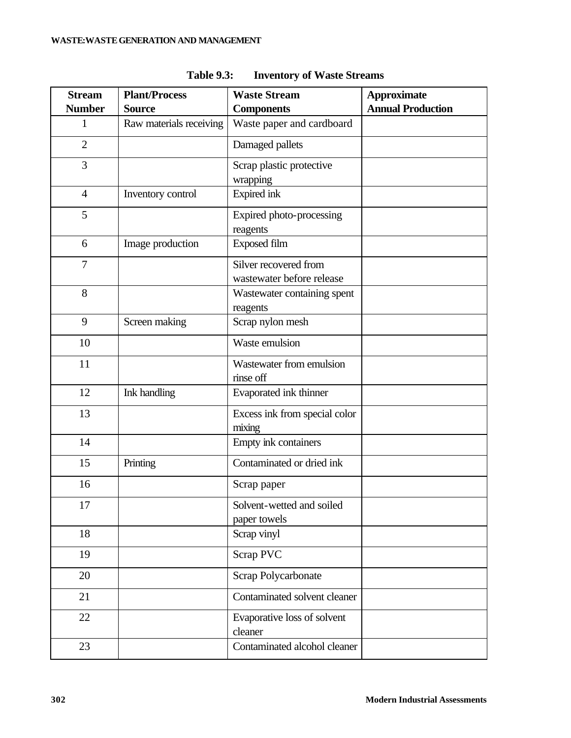| <b>Stream</b>  | <b>Plant/Process</b>    | <b>Waste Stream</b>                                | <b>Approximate</b>       |
|----------------|-------------------------|----------------------------------------------------|--------------------------|
| <b>Number</b>  | <b>Source</b>           | <b>Components</b>                                  | <b>Annual Production</b> |
| 1              | Raw materials receiving | Waste paper and cardboard                          |                          |
| $\overline{2}$ |                         | Damaged pallets                                    |                          |
| 3              |                         | Scrap plastic protective<br>wrapping               |                          |
| $\overline{4}$ | Inventory control       | Expired ink                                        |                          |
| 5              |                         | Expired photo-processing<br>reagents               |                          |
| 6              | Image production        | <b>Exposed film</b>                                |                          |
| 7              |                         | Silver recovered from<br>wastewater before release |                          |
| 8              |                         | Wastewater containing spent<br>reagents            |                          |
| 9              | Screen making           | Scrap nylon mesh                                   |                          |
| 10             |                         | Waste emulsion                                     |                          |
| 11             |                         | Wastewater from emulsion<br>rinse off              |                          |
| 12             | Ink handling            | Evaporated ink thinner                             |                          |
| 13             |                         | Excess ink from special color<br>mixing            |                          |
| 14             |                         | Empty ink containers                               |                          |
| 15             | Printing                | Contaminated or dried ink                          |                          |
| 16             |                         | Scrap paper                                        |                          |
| 17             |                         | Solvent-wetted and soiled<br>paper towels          |                          |
| 18             |                         | Scrap vinyl                                        |                          |
| 19             |                         | Scrap PVC                                          |                          |
| 20             |                         | Scrap Polycarbonate                                |                          |
| 21             |                         | Contaminated solvent cleaner                       |                          |
| 22             |                         | Evaporative loss of solvent<br>cleaner             |                          |
| 23             |                         | Contaminated alcohol cleaner                       |                          |

**Table 9.3: Inventory of Waste Streams**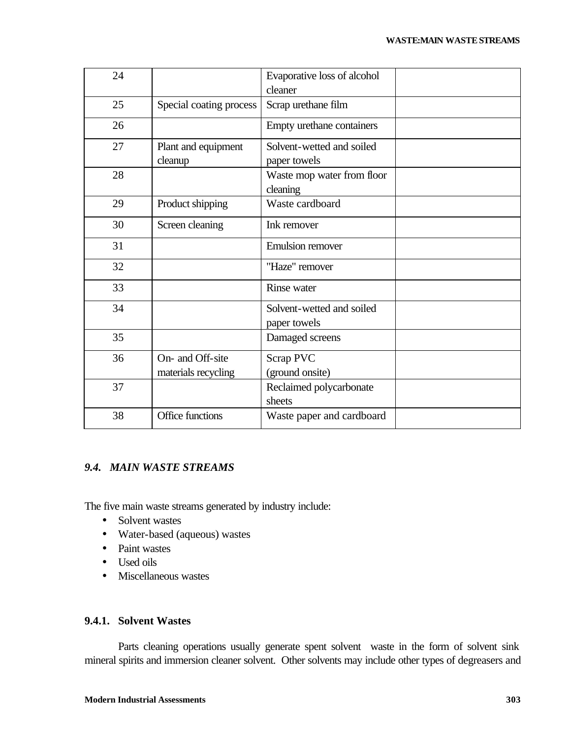| 24 |                                         | Evaporative loss of alcohol               |  |
|----|-----------------------------------------|-------------------------------------------|--|
|    |                                         | cleaner                                   |  |
| 25 | Special coating process                 | Scrap urethane film                       |  |
| 26 |                                         | Empty urethane containers                 |  |
| 27 | Plant and equipment<br>cleanup          | Solvent-wetted and soiled<br>paper towels |  |
| 28 |                                         | Waste mop water from floor<br>cleaning    |  |
| 29 | Product shipping                        | Waste cardboard                           |  |
| 30 | Screen cleaning                         | Ink remover                               |  |
| 31 |                                         | <b>Emulsion</b> remover                   |  |
| 32 |                                         | "Haze" remover                            |  |
| 33 |                                         | Rinse water                               |  |
| 34 |                                         | Solvent-wetted and soiled<br>paper towels |  |
| 35 |                                         | Damaged screens                           |  |
| 36 | On- and Off-site<br>materials recycling | Scrap PVC<br>(ground onsite)              |  |
| 37 |                                         | Reclaimed polycarbonate<br>sheets         |  |
| 38 | Office functions                        | Waste paper and cardboard                 |  |

## *9.4. MAIN WASTE STREAMS*

The five main waste streams generated by industry include:

- Solvent wastes
- Water-based (aqueous) wastes
- Paint wastes
- Used oils
- Miscellaneous wastes

## **9.4.1. Solvent Wastes**

Parts cleaning operations usually generate spent solvent waste in the form of solvent sink mineral spirits and immersion cleaner solvent. Other solvents may include other types of degreasers and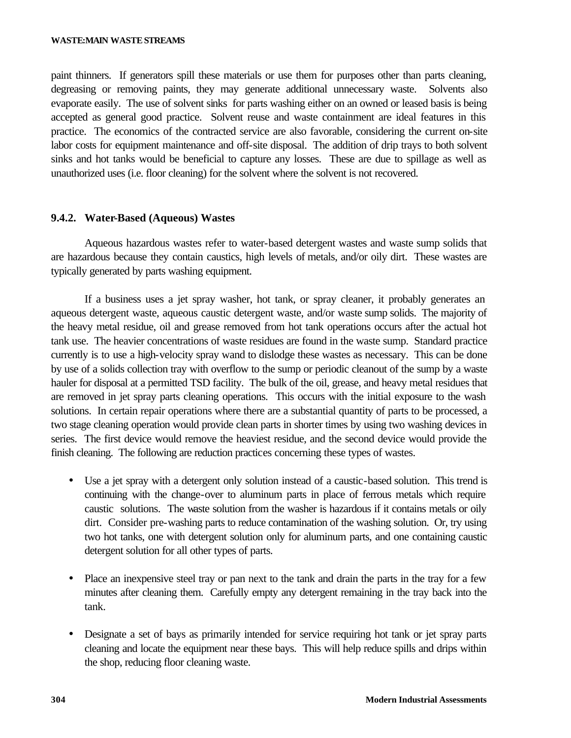#### **WASTE:MAIN WASTESTREAMS**

paint thinners. If generators spill these materials or use them for purposes other than parts cleaning, degreasing or removing paints, they may generate additional unnecessary waste. Solvents also evaporate easily. The use of solvent sinks for parts washing either on an owned or leased basis is being accepted as general good practice. Solvent reuse and waste containment are ideal features in this practice. The economics of the contracted service are also favorable, considering the current on-site labor costs for equipment maintenance and off-site disposal. The addition of drip trays to both solvent sinks and hot tanks would be beneficial to capture any losses. These are due to spillage as well as unauthorized uses (i.e. floor cleaning) for the solvent where the solvent is not recovered.

### **9.4.2. Water-Based (Aqueous) Wastes**

Aqueous hazardous wastes refer to water-based detergent wastes and waste sump solids that are hazardous because they contain caustics, high levels of metals, and/or oily dirt. These wastes are typically generated by parts washing equipment.

If a business uses a jet spray washer, hot tank, or spray cleaner, it probably generates an aqueous detergent waste, aqueous caustic detergent waste, and/or waste sump solids. The majority of the heavy metal residue, oil and grease removed from hot tank operations occurs after the actual hot tank use. The heavier concentrations of waste residues are found in the waste sump. Standard practice currently is to use a high-velocity spray wand to dislodge these wastes as necessary. This can be done by use of a solids collection tray with overflow to the sump or periodic cleanout of the sump by a waste hauler for disposal at a permitted TSD facility. The bulk of the oil, grease, and heavy metal residues that are removed in jet spray parts cleaning operations. This occurs with the initial exposure to the wash solutions. In certain repair operations where there are a substantial quantity of parts to be processed, a two stage cleaning operation would provide clean parts in shorter times by using two washing devices in series. The first device would remove the heaviest residue, and the second device would provide the finish cleaning. The following are reduction practices concerning these types of wastes.

- Use a jet spray with a detergent only solution instead of a caustic-based solution. This trend is continuing with the change-over to aluminum parts in place of ferrous metals which require caustic solutions. The waste solution from the washer is hazardous if it contains metals or oily dirt. Consider pre-washing parts to reduce contamination of the washing solution. Or, try using two hot tanks, one with detergent solution only for aluminum parts, and one containing caustic detergent solution for all other types of parts.
- Place an inexpensive steel tray or pan next to the tank and drain the parts in the tray for a few minutes after cleaning them. Carefully empty any detergent remaining in the tray back into the tank.
- Designate a set of bays as primarily intended for service requiring hot tank or jet spray parts cleaning and locate the equipment near these bays. This will help reduce spills and drips within the shop, reducing floor cleaning waste.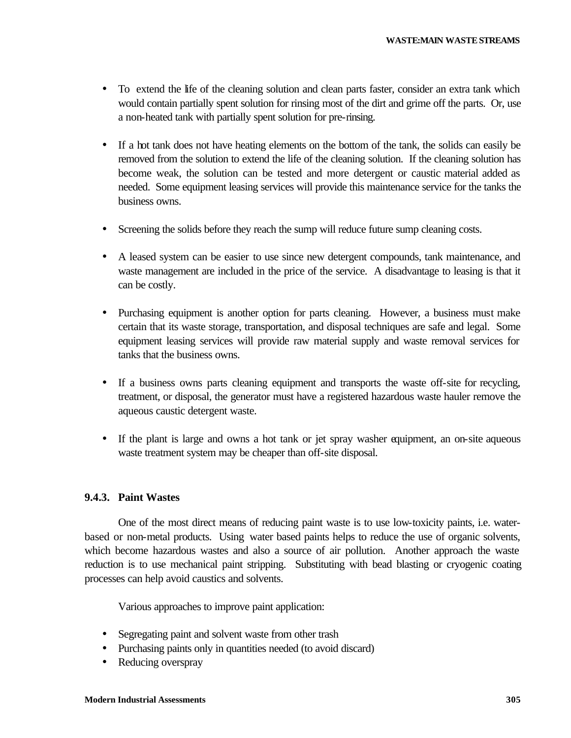- To extend the life of the cleaning solution and clean parts faster, consider an extra tank which would contain partially spent solution for rinsing most of the dirt and grime off the parts. Or, use a non-heated tank with partially spent solution for pre-rinsing.
- If a hot tank does not have heating elements on the bottom of the tank, the solids can easily be removed from the solution to extend the life of the cleaning solution. If the cleaning solution has become weak, the solution can be tested and more detergent or caustic material added as needed. Some equipment leasing services will provide this maintenance service for the tanks the business owns.
- Screening the solids before they reach the sump will reduce future sump cleaning costs.
- A leased system can be easier to use since new detergent compounds, tank maintenance, and waste management are included in the price of the service. A disadvantage to leasing is that it can be costly.
- Purchasing equipment is another option for parts cleaning. However, a business must make certain that its waste storage, transportation, and disposal techniques are safe and legal. Some equipment leasing services will provide raw material supply and waste removal services for tanks that the business owns.
- If a business owns parts cleaning equipment and transports the waste off-site for recycling, treatment, or disposal, the generator must have a registered hazardous waste hauler remove the aqueous caustic detergent waste.
- If the plant is large and owns a hot tank or jet spray washer equipment, an on-site aqueous waste treatment system may be cheaper than off-site disposal.

## **9.4.3. Paint Wastes**

One of the most direct means of reducing paint waste is to use low-toxicity paints, i.e. waterbased or non-metal products. Using water based paints helps to reduce the use of organic solvents, which become hazardous wastes and also a source of air pollution. Another approach the waste reduction is to use mechanical paint stripping. Substituting with bead blasting or cryogenic coating processes can help avoid caustics and solvents.

Various approaches to improve paint application:

- Segregating paint and solvent waste from other trash
- Purchasing paints only in quantities needed (to avoid discard)
- Reducing overspray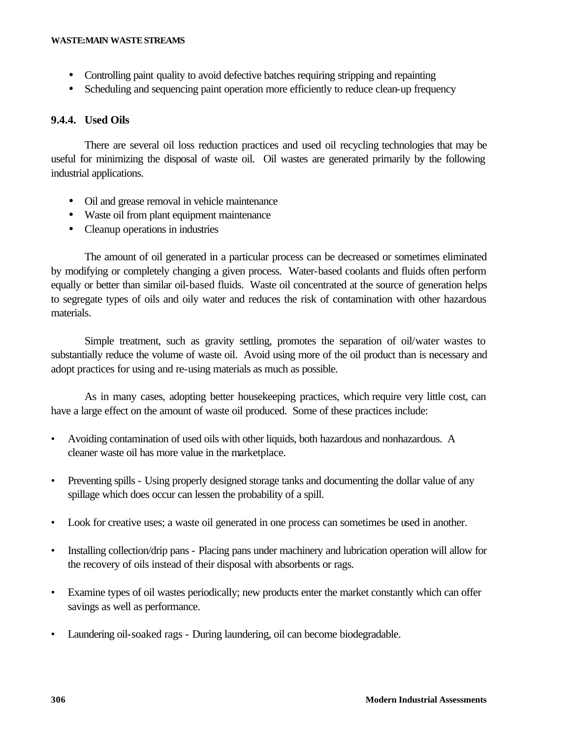- Controlling paint quality to avoid defective batches requiring stripping and repainting
- Scheduling and sequencing paint operation more efficiently to reduce clean-up frequency

## **9.4.4. Used Oils**

There are several oil loss reduction practices and used oil recycling technologies that may be useful for minimizing the disposal of waste oil. Oil wastes are generated primarily by the following industrial applications.

- Oil and grease removal in vehicle maintenance
- Waste oil from plant equipment maintenance
- Cleanup operations in industries

The amount of oil generated in a particular process can be decreased or sometimes eliminated by modifying or completely changing a given process. Water-based coolants and fluids often perform equally or better than similar oil-based fluids. Waste oil concentrated at the source of generation helps to segregate types of oils and oily water and reduces the risk of contamination with other hazardous materials.

Simple treatment, such as gravity settling, promotes the separation of oil/water wastes to substantially reduce the volume of waste oil. Avoid using more of the oil product than is necessary and adopt practices for using and re-using materials as much as possible.

As in many cases, adopting better housekeeping practices, which require very little cost, can have a large effect on the amount of waste oil produced. Some of these practices include:

- Avoiding contamination of used oils with other liquids, both hazardous and nonhazardous. A cleaner waste oil has more value in the marketplace.
- Preventing spills Using properly designed storage tanks and documenting the dollar value of any spillage which does occur can lessen the probability of a spill.
- Look for creative uses; a waste oil generated in one process can sometimes be used in another.
- Installing collection/drip pans Placing pans under machinery and lubrication operation will allow for the recovery of oils instead of their disposal with absorbents or rags.
- Examine types of oil wastes periodically; new products enter the market constantly which can offer savings as well as performance.
- Laundering oil-soaked rags During laundering, oil can become biodegradable.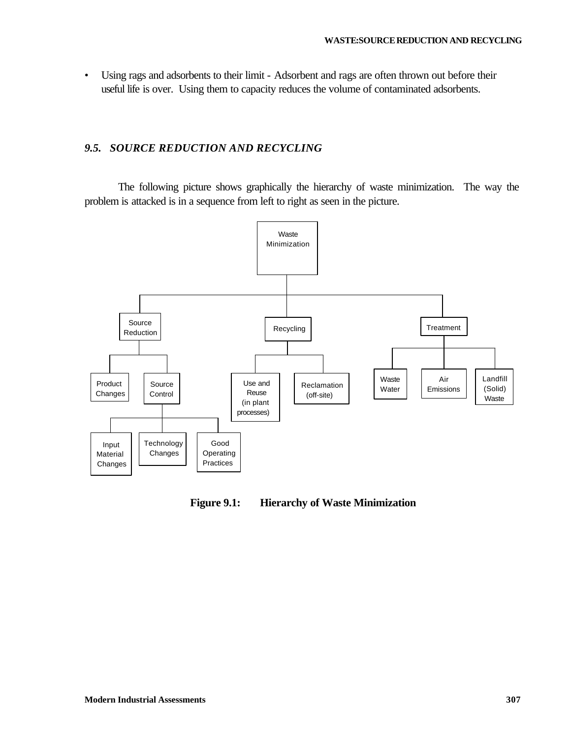• Using rags and adsorbents to their limit - Adsorbent and rags are often thrown out before their useful life is over. Using them to capacity reduces the volume of contaminated adsorbents.

## *9.5. SOURCE REDUCTION AND RECYCLING*

The following picture shows graphically the hierarchy of waste minimization. The way the problem is attacked is in a sequence from left to right as seen in the picture.



**Figure 9.1: Hierarchy of Waste Minimization**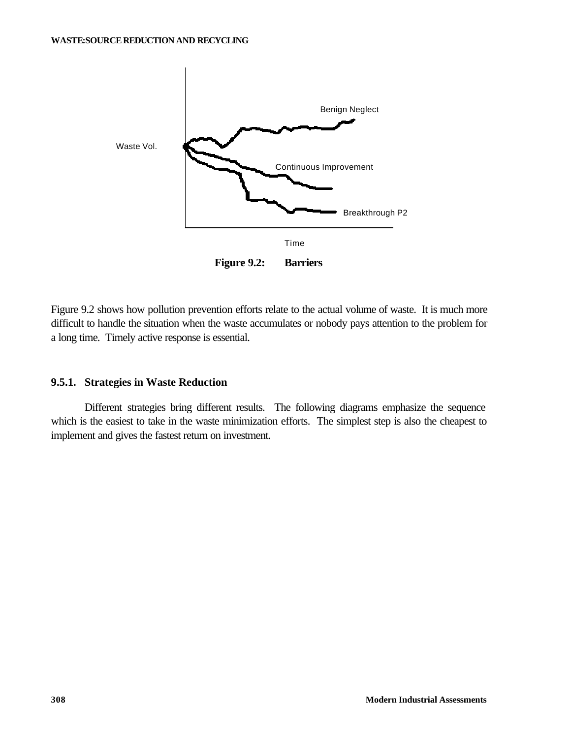

Figure 9.2 shows how pollution prevention efforts relate to the actual volume of waste. It is much more difficult to handle the situation when the waste accumulates or nobody pays attention to the problem for a long time. Timely active response is essential.

### **9.5.1. Strategies in Waste Reduction**

Different strategies bring different results. The following diagrams emphasize the sequence which is the easiest to take in the waste minimization efforts. The simplest step is also the cheapest to implement and gives the fastest return on investment.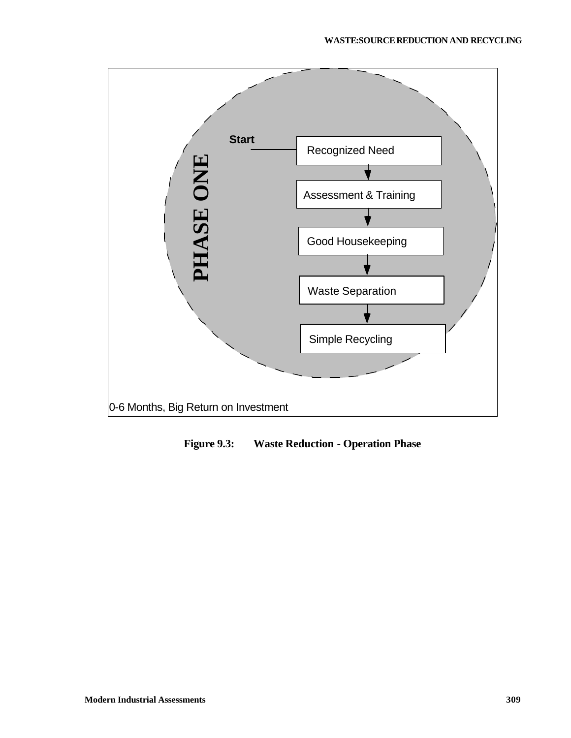

**Figure 9.3: Waste Reduction - Operation Phase**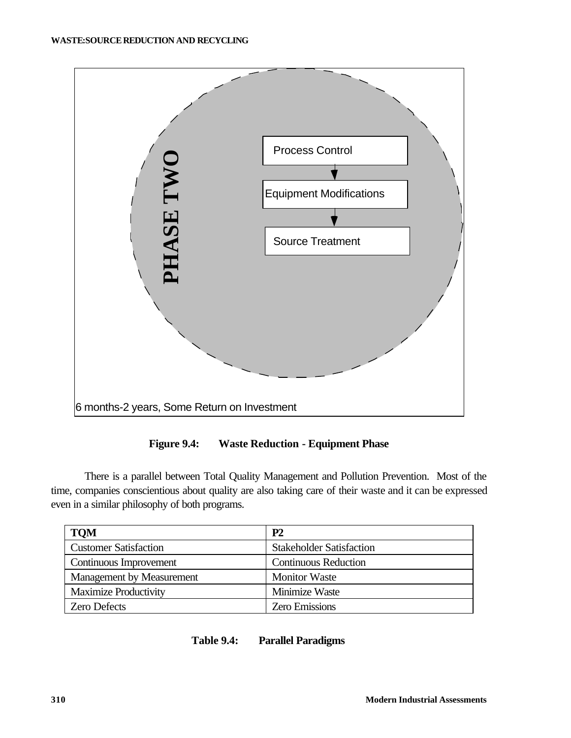

**Figure 9.4: Waste Reduction - Equipment Phase**

There is a parallel between Total Quality Management and Pollution Prevention. Most of the time, companies conscientious about quality are also taking care of their waste and it can be expressed even in a similar philosophy of both programs.

| <b>TQM</b>                   | P2                              |  |
|------------------------------|---------------------------------|--|
| <b>Customer Satisfaction</b> | <b>Stakeholder Satisfaction</b> |  |
| Continuous Improvement       | <b>Continuous Reduction</b>     |  |
| Management by Measurement    | <b>Monitor Waste</b>            |  |
| <b>Maximize Productivity</b> | Minimize Waste                  |  |
| <b>Zero Defects</b>          | <b>Zero Emissions</b>           |  |